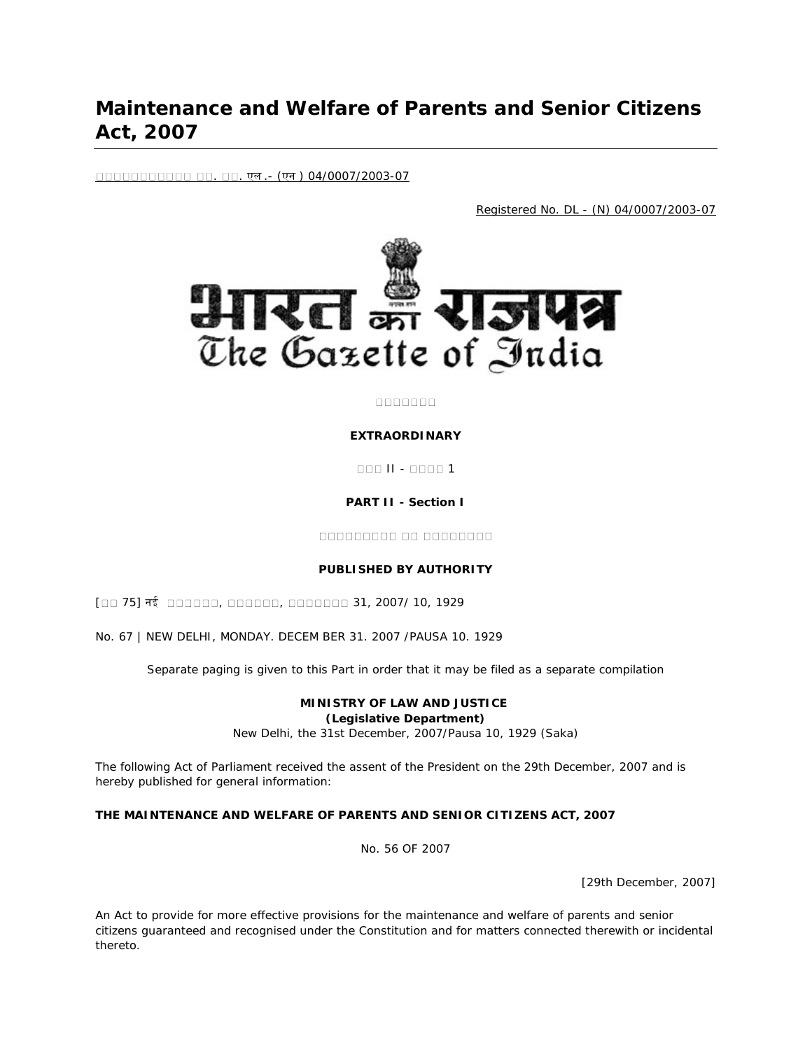# **Maintenance and Welfare of Parents and Senior Citizens Act, 2007**

. . एल .- (एन ) 04/0007/2003-07

Registered No. DL - (N) 04/0007/2003-07



#### $00000000$

#### **EXTRAORDINARY**

**ODD II - 0000 1** 

#### **PART II - Section I**

#### **PUBLISHED BY AUTHORITY**

[00 75] नई 000000, 000000, 0000000 31, 2007/ 10, 1929

No. 67 | NEW DELHI, MONDAY. DECEM BER 31. 2007 /PAUSA 10. 1929

Separate paging is given to this Part in order that it may be filed as a separate compilation

#### **MINISTRY OF LAW AND JUSTICE (Legislative Department)**

New Delhi, the 31st December, 2007/Pausa 10, 1929 (Saka)

The following Act of Parliament received the assent of the President on the 29th December, 2007 and is hereby published for general information:

#### **THE MAINTENANCE AND WELFARE OF PARENTS AND SENIOR CITIZENS ACT, 2007**

No. 56 OF 2007

[29th December, 2007]

An Act to provide for more effective provisions for the maintenance and welfare of parents and senior citizens guaranteed and recognised under the Constitution and for matters connected therewith or incidental thereto.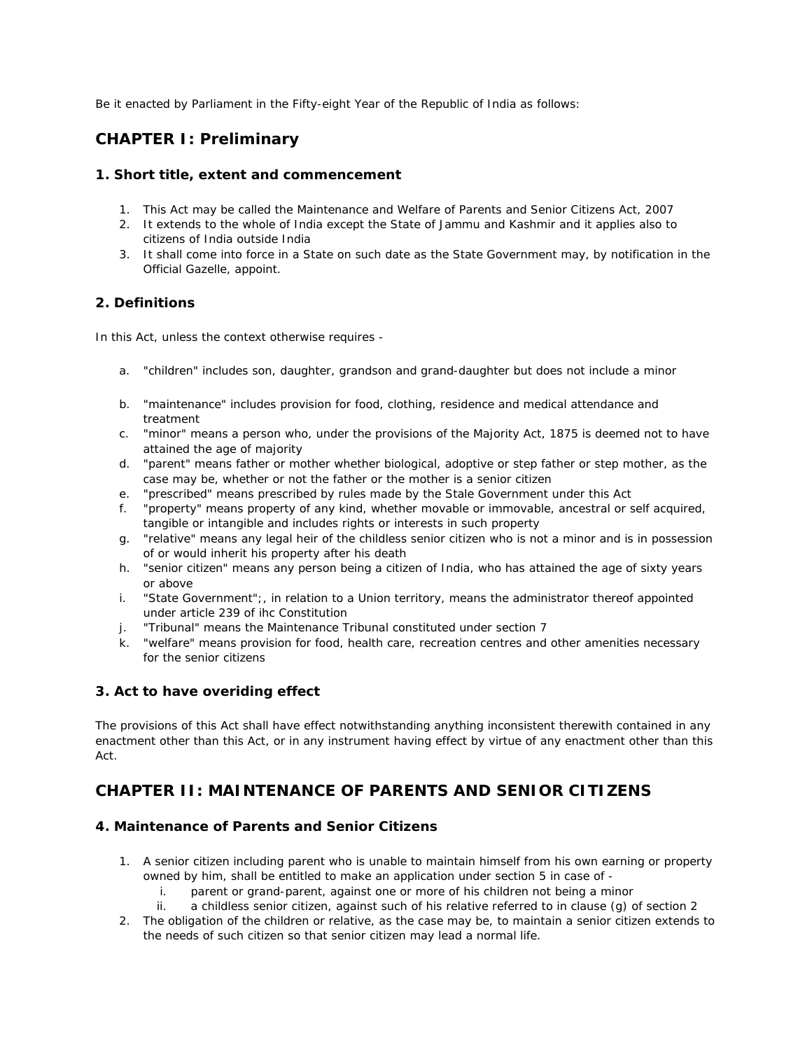Be it enacted by Parliament in the Fifty-eight Year of the Republic of India as follows:

# **CHAPTER I: Preliminary**

### **1. Short title, extent and commencement**

- 1. This Act may be called the Maintenance and Welfare of Parents and Senior Citizens Act, 2007
- 2. It extends to the whole of India except the State of Jammu and Kashmir and it applies also to citizens of India outside India
- 3. It shall come into force in a State on such date as the State Government may, by notification in the Official Gazelle, appoint.

# **2. Definitions**

In this Act, unless the context otherwise requires -

- a. "children" includes son, daughter, grandson and grand-daughter but does not include a minor
- b. "maintenance" includes provision for food, clothing, residence and medical attendance and treatment
- c. "minor" means a person who, under the provisions of the Majority Act, 1875 is deemed not to have attained the age of majority
- d. "parent" means father or mother whether biological, adoptive or step father or step mother, as the case may be, whether or not the father or the mother is a senior citizen
- e. "prescribed" means prescribed by rules made by the Stale Government under this Act
- f. "property" means property of any kind, whether movable or immovable, ancestral or self acquired, tangible or intangible and includes rights or interests in such property
- g. "relative" means any legal heir of the childless senior citizen who is not a minor and is in possession of or would inherit his property after his death
- h. "senior citizen" means any person being a citizen of India, who has attained the age of sixty years or above
- i. "State Government";, in relation to a Union territory, means the administrator thereof appointed under article 239 of ihc Constitution
- j. "Tribunal" means the Maintenance Tribunal constituted under section 7
- k. "welfare" means provision for food, health care, recreation centres and other amenities necessary for the senior citizens

# **3. Act to have overiding effect**

The provisions of this Act shall have effect notwithstanding anything inconsistent therewith contained in any enactment other than this Act, or in any instrument having effect by virtue of any enactment other than this Act.

# **CHAPTER II: MAINTENANCE OF PARENTS AND SENIOR CITIZENS**

# **4. Maintenance of Parents and Senior Citizens**

- 1. A senior citizen including parent who is unable to maintain himself from his own earning or property owned by him, shall be entitled to make an application under section 5 in case of
	- i. parent or grand-parent, against one or more of his children not being a minor
	- ii. a childless senior citizen, against such of his relative referred to in clause (g) of section 2
- 2. The obligation of the children or relative, as the case may be, to maintain a senior citizen extends to the needs of such citizen so that senior citizen may lead a normal life.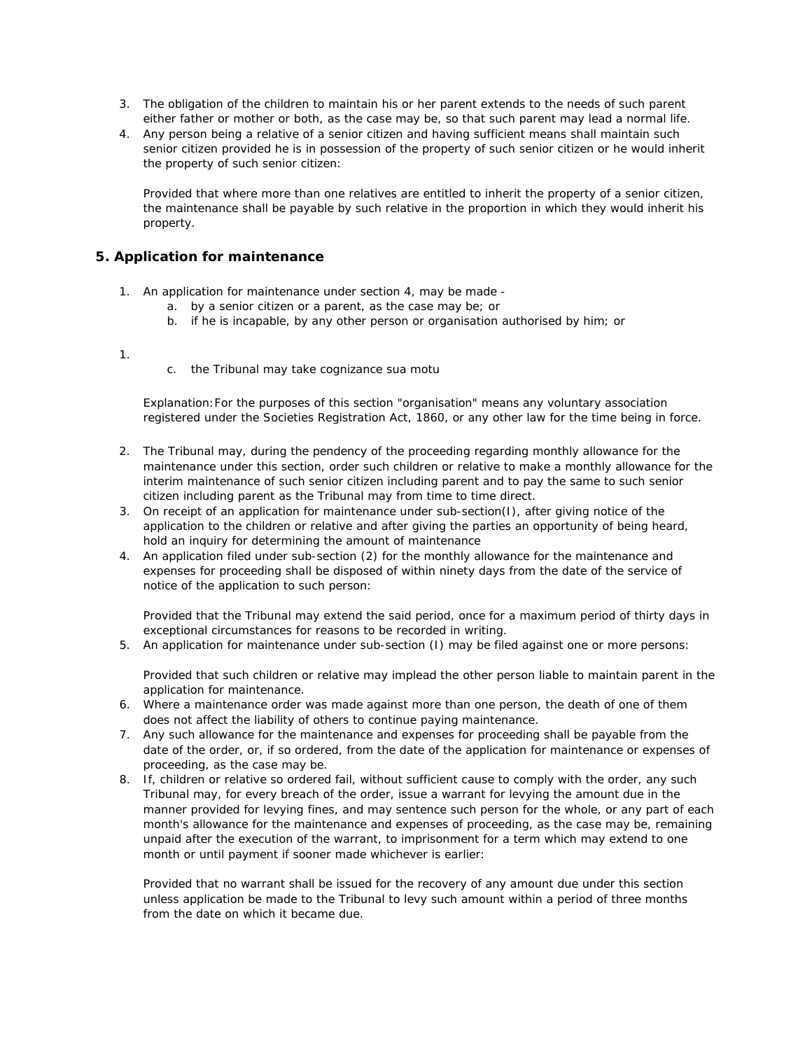- 3. The obligation of the children to maintain his or her parent extends to the needs of such parent either father or mother or both, as the case may be, so that such parent may lead a normal life.
- 4. Any person being a relative of a senior citizen and having sufficient means shall maintain such senior citizen provided he is in possession of the property of such senior citizen or he would inherit the property of such senior citizen:

Provided that where more than one relatives are entitled to inherit the property of a senior citizen, the maintenance shall be payable by such relative in the proportion in which they would inherit his property.

#### **5. Application for maintenance**

- 1. An application for maintenance under section 4, may be made
	- a. by a senior citizen or a parent, as the case may be; or
	- b. if he is incapable, by any other person or organisation authorised by him; or

#### 1.

c. the Tribunal may take cognizance sua motu

Explanation:For the purposes of this section "organisation" means any voluntary association registered under the Societies Registration Act, 1860, or any other law for the time being in force.

- 2. The Tribunal may, during the pendency of the proceeding regarding monthly allowance for the maintenance under this section, order such children or relative to make a monthly allowance for the interim maintenance of such senior citizen including parent and to pay the same to such senior citizen including parent as the Tribunal may from time to time direct.
- 3. On receipt of an application for maintenance under sub-section(I), after giving notice of the application to the children or relative and after giving the parties an opportunity of being heard, hold an inquiry for determining the amount of maintenance
- 4. An application filed under sub-section (2) for the monthly allowance for the maintenance and expenses for proceeding shall be disposed of within ninety days from the date of the service of notice of the application to such person:

Provided that the Tribunal may extend the said period, once for a maximum period of thirty days in exceptional circumstances for reasons to be recorded in writing.

5. An application for maintenance under sub-section (I) may be filed against one or more persons:

Provided that such children or relative may implead the other person liable to maintain parent in the application for maintenance.

- 6. Where a maintenance order was made against more than one person, the death of one of them does not affect the liability of others to continue paying maintenance.
- 7. Any such allowance for the maintenance and expenses for proceeding shall be payable from the date of the order, or, if so ordered, from the date of the application for maintenance or expenses of proceeding, as the case may be.
- 8. If, children or relative so ordered fail, without sufficient cause to comply with the order, any such Tribunal may, for every breach of the order, issue a warrant for levying the amount due in the manner provided for levying fines, and may sentence such person for the whole, or any part of each month's allowance for the maintenance and expenses of proceeding, as the case may be, remaining unpaid after the execution of the warrant, to imprisonment for a term which may extend to one month or until payment if sooner made whichever is earlier:

Provided that no warrant shall be issued for the recovery of any amount due under this section unless application be made to the Tribunal to levy such amount within a period of three months from the date on which it became due.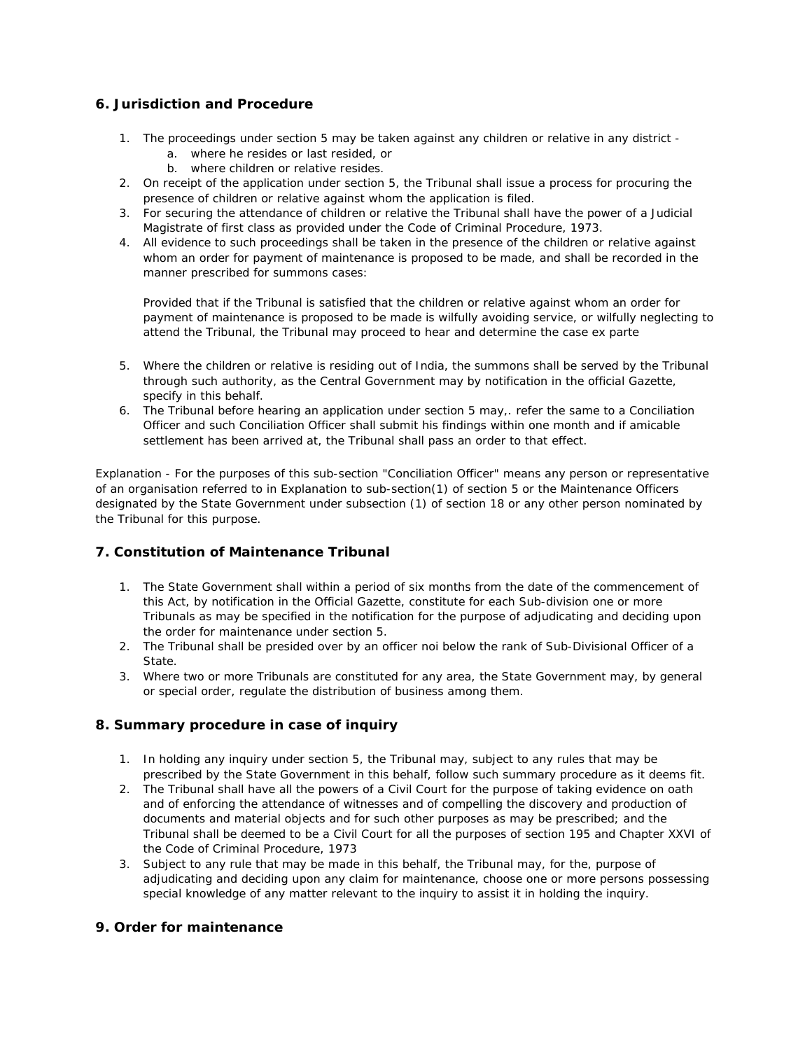### **6. Jurisdiction and Procedure**

- 1. The proceedings under section 5 may be taken against any children or relative in any district
	- a. where he resides or last resided, or
	- b. where children or relative resides.
- 2. On receipt of the application under section 5, the Tribunal shall issue a process for procuring the presence of children or relative against whom the application is filed.
- 3. For securing the attendance of children or relative the Tribunal shall have the power of a Judicial Magistrate of first class as provided under the Code of Criminal Procedure, 1973.
- 4. All evidence to such proceedings shall be taken in the presence of the children or relative against whom an order for payment of maintenance is proposed to be made, and shall be recorded in the manner prescribed for summons cases:

Provided that if the Tribunal is satisfied that the children or relative against whom an order for payment of maintenance is proposed to be made is wilfully avoiding service, or wilfully neglecting to attend the Tribunal, the Tribunal may proceed to hear and determine the case ex parte

- 5. Where the children or relative is residing out of India, the summons shall be served by the Tribunal through such authority, as the Central Government may by notification in the official Gazette, specify in this behalf.
- 6. The Tribunal before hearing an application under section 5 may,. refer the same to a Conciliation Officer and such Conciliation Officer shall submit his findings within one month and if amicable settlement has been arrived at, the Tribunal shall pass an order to that effect.

Explanation - For the purposes of this sub-section "Conciliation Officer" means any person or representative of an organisation referred to in Explanation to sub-section(1) of section 5 or the Maintenance Officers designated by the State Government under subsection (1) of section 18 or any other person nominated by the Tribunal for this purpose.

# **7. Constitution of Maintenance Tribunal**

- 1. The State Government shall within a period of six months from the date of the commencement of this Act, by notification in the Official Gazette, constitute for each Sub-division one or more Tribunals as may be specified in the notification for the purpose of adjudicating and deciding upon the order for maintenance under section 5.
- 2. The Tribunal shall be presided over by an officer noi below the rank of Sub-Divisional Officer of a State.
- 3. Where two or more Tribunals are constituted for any area, the State Government may, by general or special order, regulate the distribution of business among them.

# **8. Summary procedure in case of inquiry**

- 1. In holding any inquiry under section 5, the Tribunal may, subject to any rules that may be prescribed by the State Government in this behalf, follow such summary procedure as it deems fit.
- 2. The Tribunal shall have all the powers of a Civil Court for the purpose of taking evidence on oath and of enforcing the attendance of witnesses and of compelling the discovery and production of documents and material objects and for such other purposes as may be prescribed; and the Tribunal shall be deemed to be a Civil Court for all the purposes of section 195 and Chapter XXVI of the Code of Criminal Procedure, 1973
- 3. Subject to any rule that may be made in this behalf, the Tribunal may, for the, purpose of adjudicating and deciding upon any claim for maintenance, choose one or more persons possessing special knowledge of any matter relevant to the inquiry to assist it in holding the inquiry.

# **9. Order for maintenance**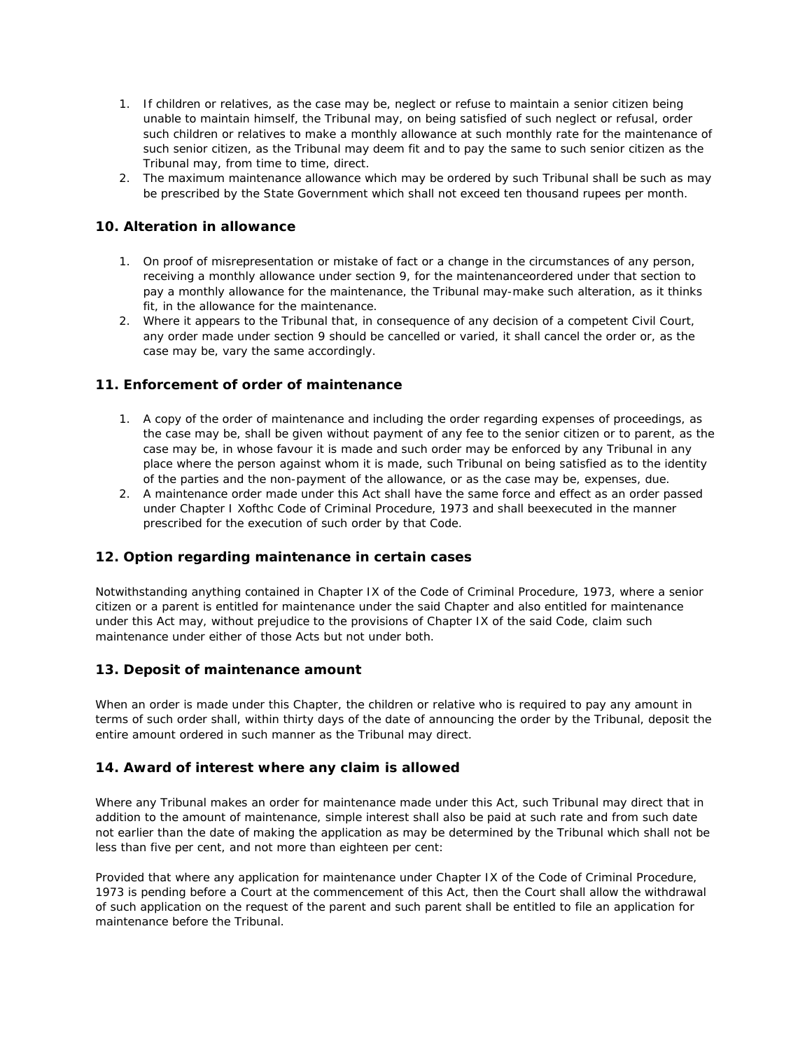- 1. If children or relatives, as the case may be, neglect or refuse to maintain a senior citizen being unable to maintain himself, the Tribunal may, on being satisfied of such neglect or refusal, order such children or relatives to make a monthly allowance at such monthly rate for the maintenance of such senior citizen, as the Tribunal may deem fit and to pay the same to such senior citizen as the Tribunal may, from time to time, direct.
- 2. The maximum maintenance allowance which may be ordered by such Tribunal shall be such as may be prescribed by the State Government which shall not exceed ten thousand rupees per month.

### **10. Alteration in allowance**

- 1. On proof of misrepresentation or mistake of fact or a change in the circumstances of any person, receiving a monthly allowance under section 9, for the maintenanceordered under that section to pay a monthly allowance for the maintenance, the Tribunal may-make such alteration, as it thinks fit, in the allowance for the maintenance.
- 2. Where it appears to the Tribunal that, in consequence of any decision of a competent Civil Court, any order made under section 9 should be cancelled or varied, it shall cancel the order or, as the case may be, vary the same accordingly.

#### **11. Enforcement of order of maintenance**

- 1. A copy of the order of maintenance and including the order regarding expenses of proceedings, as the case may be, shall be given without payment of any fee to the senior citizen or to parent, as the case may be, in whose favour it is made and such order may be enforced by any Tribunal in any place where the person against whom it is made, such Tribunal on being satisfied as to the identity of the parties and the non-payment of the allowance, or as the case may be, expenses, due.
- 2. A maintenance order made under this Act shall have the same force and effect as an order passed under Chapter I Xofthc Code of Criminal Procedure, 1973 and shall beexecuted in the manner prescribed for the execution of such order by that Code.

#### **12. Option regarding maintenance in certain cases**

Notwithstanding anything contained in Chapter IX of the Code of Criminal Procedure, 1973, where a senior citizen or a parent is entitled for maintenance under the said Chapter and also entitled for maintenance under this Act may, without prejudice to the provisions of Chapter IX of the said Code, claim such maintenance under either of those Acts but not under both.

#### **13. Deposit of maintenance amount**

When an order is made under this Chapter, the children or relative who is required to pay any amount in terms of such order shall, within thirty days of the date of announcing the order by the Tribunal, deposit the entire amount ordered in such manner as the Tribunal may direct.

#### **14. Award of interest where any claim is allowed**

Where any Tribunal makes an order for maintenance made under this Act, such Tribunal may direct that in addition to the amount of maintenance, simple interest shall also be paid at such rate and from such date not earlier than the date of making the application as may be determined by the Tribunal which shall not be less than five per cent, and not more than eighteen per cent:

Provided that where any application for maintenance under Chapter IX of the Code of Criminal Procedure, 1973 is pending before a Court at the commencement of this Act, then the Court shall allow the withdrawal of such application on the request of the parent and such parent shall be entitled to file an application for maintenance before the Tribunal.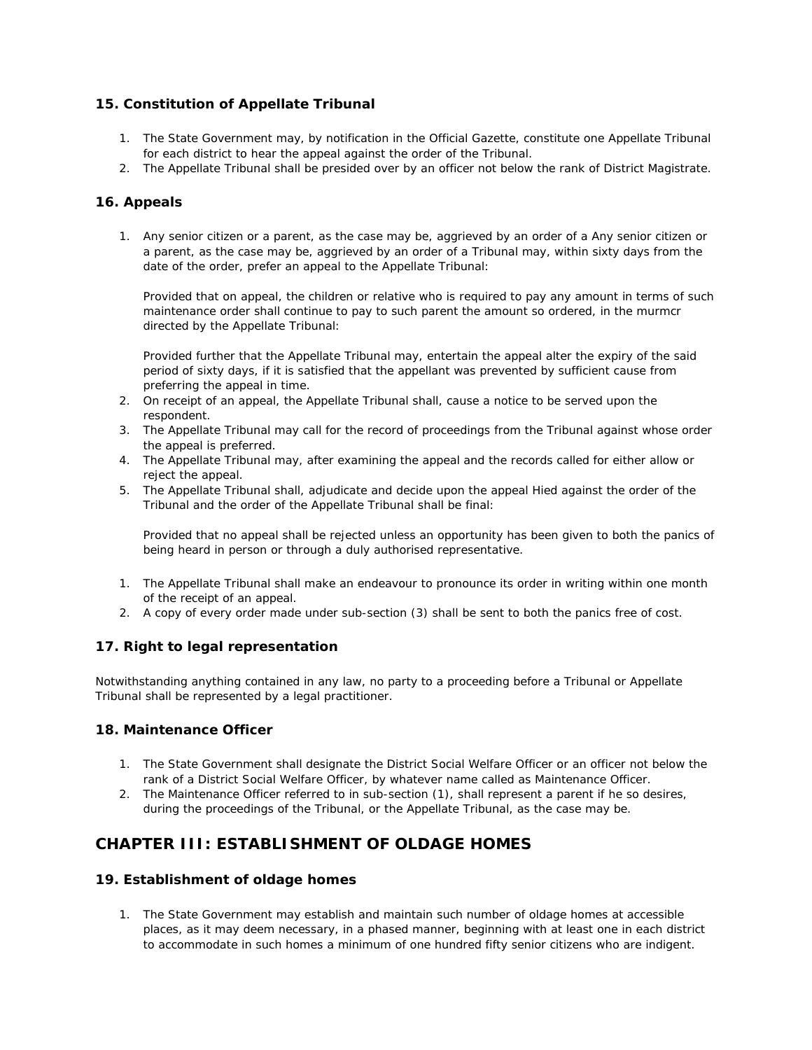# **15. Constitution of Appellate Tribunal**

- 1. The State Government may, by notification in the Official Gazette, constitute one Appellate Tribunal for each district to hear the appeal against the order of the Tribunal.
- 2. The Appellate Tribunal shall be presided over by an officer not below the rank of District Magistrate.

#### **16. Appeals**

1. Any senior citizen or a parent, as the case may be, aggrieved by an order of a Any senior citizen or a parent, as the case may be, aggrieved by an order of a Tribunal may, within sixty days from the date of the order, prefer an appeal to the Appellate Tribunal:

Provided that on appeal, the children or relative who is required to pay any amount in terms of such maintenance order shall continue to pay to such parent the amount so ordered, in the murmcr directed by the Appellate Tribunal:

Provided further that the Appellate Tribunal may, entertain the appeal alter the expiry of the said period of sixty days, if it is satisfied that the appellant was prevented by sufficient cause from preferring the appeal in time.

- 2. On receipt of an appeal, the Appellate Tribunal shall, cause a notice to be served upon the respondent.
- 3. The Appellate Tribunal may call for the record of proceedings from the Tribunal against whose order the appeal is preferred.
- 4. The Appellate Tribunal may, after examining the appeal and the records called for either allow or reject the appeal.
- 5. The Appellate Tribunal shall, adjudicate and decide upon the appeal Hied against the order of the Tribunal and the order of the Appellate Tribunal shall be final:

Provided that no appeal shall be rejected unless an opportunity has been given to both the panics of being heard in person or through a duly authorised representative.

- 1. The Appellate Tribunal shall make an endeavour to pronounce its order in writing within one month of the receipt of an appeal.
- 2. A copy of every order made under sub-section (3) shall be sent to both the panics free of cost.

# **17. Right to legal representation**

Notwithstanding anything contained in any law, no party to a proceeding before a Tribunal or Appellate Tribunal shall be represented by a legal practitioner.

### **18. Maintenance Officer**

- 1. The State Government shall designate the District Social Welfare Officer or an officer not below the rank of a District Social Welfare Officer, by whatever name called as Maintenance Officer.
- 2. The Maintenance Officer referred to in sub-section (1), shall represent a parent if he so desires, during the proceedings of the Tribunal, or the Appellate Tribunal, as the case may be.

# **CHAPTER III: ESTABLISHMENT OF OLDAGE HOMES**

#### **19. Establishment of oldage homes**

1. The State Government may establish and maintain such number of oldage homes at accessible places, as it may deem necessary, in a phased manner, beginning with at least one in each district to accommodate in such homes a minimum of one hundred fifty senior citizens who are indigent.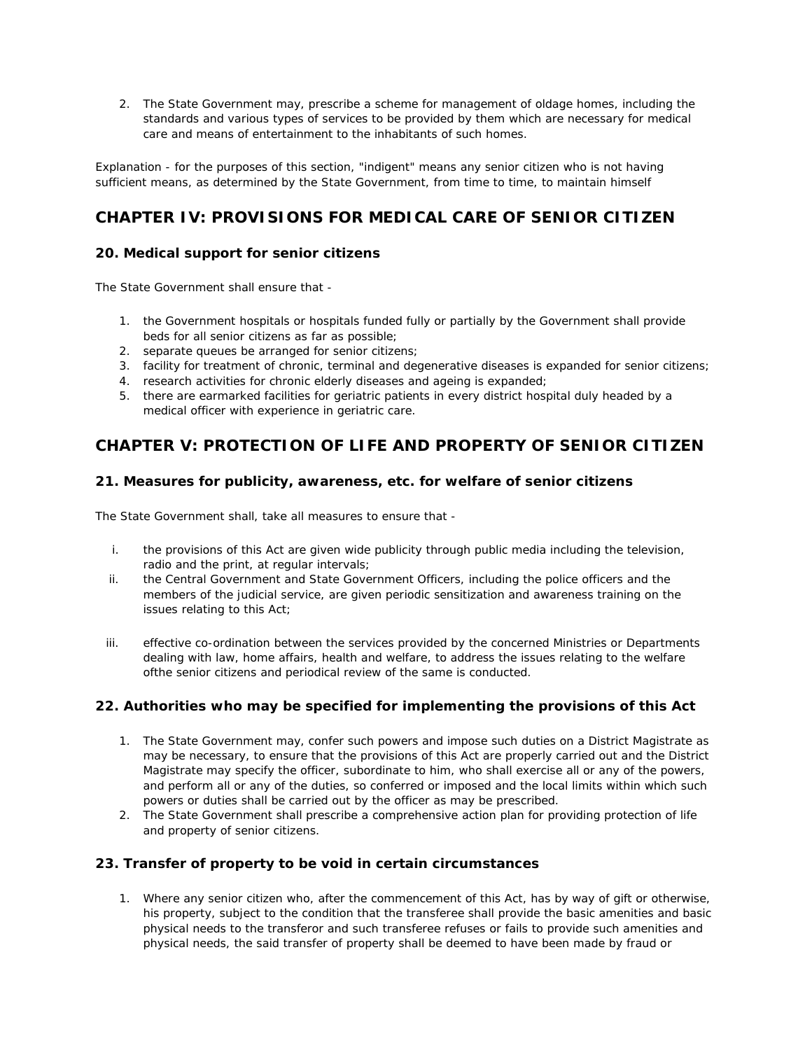2. The State Government may, prescribe a scheme for management of oldage homes, including the standards and various types of services to be provided by them which are necessary for medical care and means of entertainment to the inhabitants of such homes.

Explanation - for the purposes of this section, "indigent" means any senior citizen who is not having sufficient means, as determined by the State Government, from time to time, to maintain himself

# **CHAPTER IV: PROVISIONS FOR MEDICAL CARE OF SENIOR CITIZEN**

# **20. Medical support for senior citizens**

The State Government shall ensure that -

- 1. the Government hospitals or hospitals funded fully or partially by the Government shall provide beds for all senior citizens as far as possible;
- 2. separate queues be arranged for senior citizens;
- 3. facility for treatment of chronic, terminal and degenerative diseases is expanded for senior citizens;
- 4. research activities for chronic elderly diseases and ageing is expanded;
- 5. there are earmarked facilities for geriatric patients in every district hospital duly headed by a medical officer with experience in geriatric care.

# **CHAPTER V: PROTECTION OF LIFE AND PROPERTY OF SENIOR CITIZEN**

### **21. Measures for publicity, awareness, etc. for welfare of senior citizens**

The State Government shall, take all measures to ensure that -

- i. the provisions of this Act are given wide publicity through public media including the television, radio and the print, at regular intervals;
- ii. the Central Government and State Government Officers, including the police officers and the members of the judicial service, are given periodic sensitization and awareness training on the issues relating to this Act;
- iii. effective co-ordination between the services provided by the concerned Ministries or Departments dealing with law, home affairs, health and welfare, to address the issues relating to the welfare ofthe senior citizens and periodical review of the same is conducted.

# **22. Authorities who may be specified for implementing the provisions of this Act**

- 1. The State Government may, confer such powers and impose such duties on a District Magistrate as may be necessary, to ensure that the provisions of this Act are properly carried out and the District Magistrate may specify the officer, subordinate to him, who shall exercise all or any of the powers, and perform all or any of the duties, so conferred or imposed and the local limits within which such powers or duties shall be carried out by the officer as may be prescribed.
- 2. The State Government shall prescribe a comprehensive action plan for providing protection of life and property of senior citizens.

# **23. Transfer of property to be void in certain circumstances**

1. Where any senior citizen who, after the commencement of this Act, has by way of gift or otherwise, his property, subject to the condition that the transferee shall provide the basic amenities and basic physical needs to the transferor and such transferee refuses or fails to provide such amenities and physical needs, the said transfer of property shall be deemed to have been made by fraud or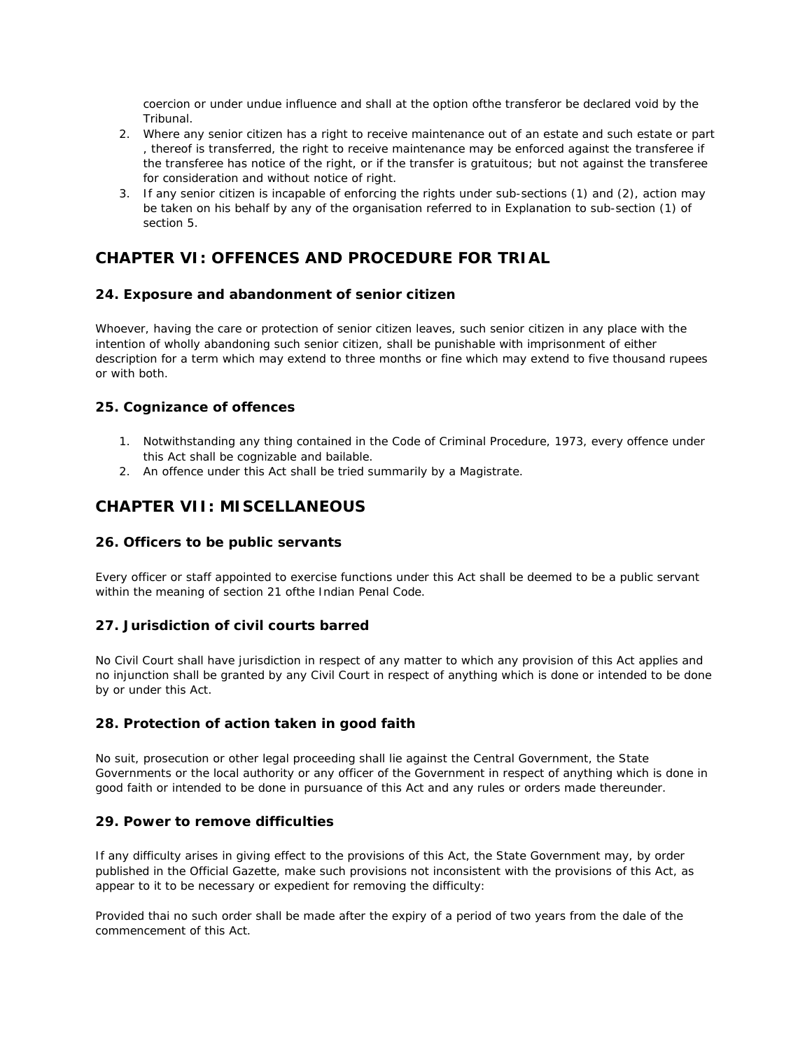coercion or under undue influence and shall at the option ofthe transferor be declared void by the Tribunal.

- 2. Where any senior citizen has a right to receive maintenance out of an estate and such estate or part , thereof is transferred, the right to receive maintenance may be enforced against the transferee if the transferee has notice of the right, or if the transfer is gratuitous; but not against the transferee for consideration and without notice of right.
- 3. If any senior citizen is incapable of enforcing the rights under sub-sections (1) and (2), action may be taken on his behalf by any of the organisation referred to in Explanation to sub-section (1) of section 5.

# **CHAPTER VI: OFFENCES AND PROCEDURE FOR TRIAL**

# **24. Exposure and abandonment of senior citizen**

Whoever, having the care or protection of senior citizen leaves, such senior citizen in any place with the intention of wholly abandoning such senior citizen, shall be punishable with imprisonment of either description for a term which may extend to three months or fine which may extend to five thousand rupees or with both.

### **25. Cognizance of offences**

- 1. Notwithstanding any thing contained in the Code of Criminal Procedure, 1973, every offence under this Act shall be cognizable and bailable.
- 2. An offence under this Act shall be tried summarily by a Magistrate.

# **CHAPTER VII: MISCELLANEOUS**

#### **26. Officers to be public servants**

Every officer or staff appointed to exercise functions under this Act shall be deemed to be a public servant within the meaning of section 21 ofthe Indian Penal Code.

#### **27. Jurisdiction of civil courts barred**

No Civil Court shall have jurisdiction in respect of any matter to which any provision of this Act applies and no injunction shall be granted by any Civil Court in respect of anything which is done or intended to be done by or under this Act.

#### **28. Protection of action taken in good faith**

No suit, prosecution or other legal proceeding shall lie against the Central Government, the State Governments or the local authority or any officer of the Government in respect of anything which is done in good faith or intended to be done in pursuance of this Act and any rules or orders made thereunder.

#### **29. Power to remove difficulties**

If any difficulty arises in giving effect to the provisions of this Act, the State Government may, by order published in the Official Gazette, make such provisions not inconsistent with the provisions of this Act, as appear to it to be necessary or expedient for removing the difficulty:

Provided thai no such order shall be made after the expiry of a period of two years from the dale of the commencement of this Act.